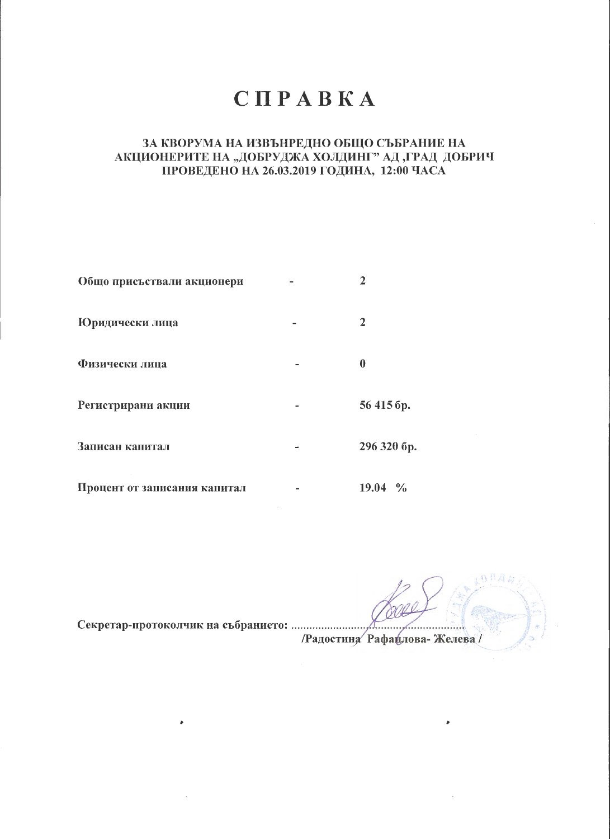## CHPABKA

## ЗА КВОРУМА НА ИЗВЪНРЕДНО ОБЩО СЪБРАНИЕ НА АКЦИОНЕРИТЕ НА "ДОБРУДЖА ХОЛДИНГ" АД "ГРАД ДОБРИЧ ПРОВЕДЕНО НА 26.03.2019 ГОДИНА, 12:00 ЧАСА

| Общо присъствали акционери   | $\mathbf{2}$           |
|------------------------------|------------------------|
| Юридически лица              | 2                      |
| Физически лица               | $\boldsymbol{0}$       |
| Регистрирани акции           | 56 415 <sub>6p</sub> . |
| Записан капитал              | 296 320 бр.            |
| Процент от записания капитал | $19.04\%$              |

/Радостина Рафаилова-Желева/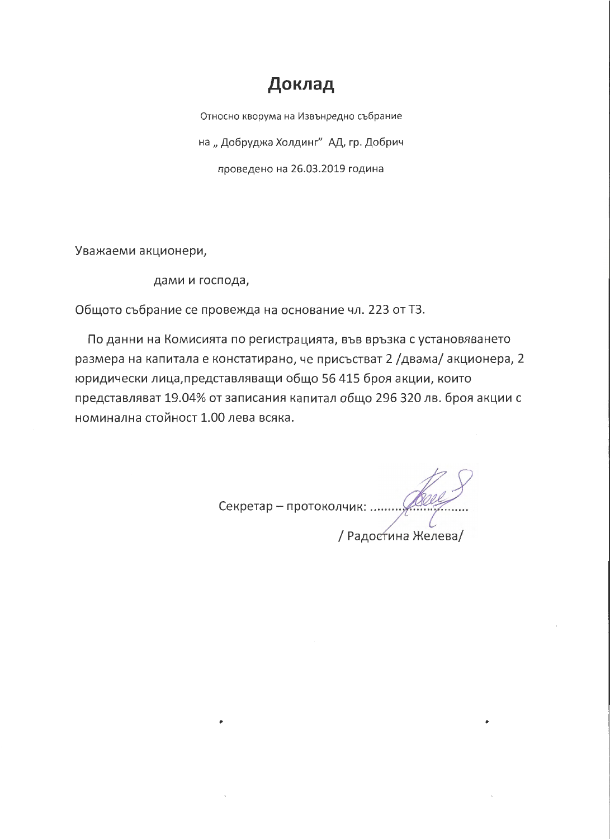## Доклад

Относно кворума на Извънредно събрание на "Добруджа Холдинг" АД, гр. Добрич проведено на 26.03.2019 година

Уважаеми акционери,

дами и господа,

Общото събрание се провежда на основание чл. 223 от ТЗ.

По данни на Комисията по регистрацията, във връзка с установяването размера на капитала е констатирано, че присъстват 2 /двама/ акционера, 2 юридически лица, представляващи общо 56 415 броя акции, които представляват 19.04% от записания капитал общо 296 320 лв. броя акции с номинална стойност 1.00 лева всяка.

Секретар - протоколчик: ..... / Радогтина Желева/